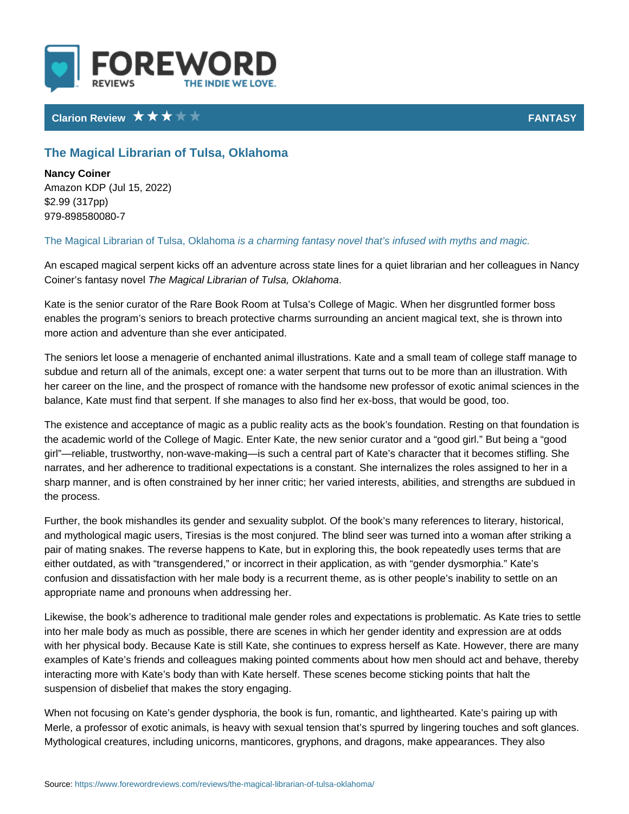## Clarion Review **FANTA**S

## The Magical Librarian of Tulsa, Oklahoma

Nancy Coiner Amazon KDP (Jul 15, 2022) \$2.99 (317pp) 979-898580080-7

The Magical Librarian of Tuissa, colar a minong fantasy novel that s infused with myths

An escaped magical serpent kicks off an adventure across state lines for a quie Coiner s fantasynen oM wægical Librarian of Tulsa, Oklahoma

Kate is the senior curator of the Rare Book Room at Tulsa s College of Magic. ' enables the program s seniors to breach protective charms surrounding an anci more action and adventure than she ever anticipated.

The seniors let loose a menagerie of enchanted animal illustrations. Kate and a subdue and return all of the animals, except one: a water serpent that turns ou her career on the line, and the prospect of romance with the handsome new pro balance, Kate must find that serpent. If she manages to also find her ex-boss,

The existence and acceptance of magic as a public reality acts as the book s fo the academic world of the College of Magic. Enter Kate, the new senior curator girl reliable, trustworthy, non-wave-making is such a central part of Kate s cha narrates, and her adherence to traditional expectations is a constant. She inter sharp manner, and is often constrained by her inner critic; her varied interests the process.

Further, the book mishandles its gender and sexuality subplot. Of the book s m and mythological magic users, Tiresias is the most conjured. The blind seer wa pair of mating snakes. The reverse happens to Kate, but in exploring this, the b either outdated, as with transgendered, or incorrect in their application, as w confusion and dissatisfaction with her male body is a recurrent theme, as is oth appropriate name and pronouns when addressing her.

Likewise, the book s adherence to traditional male gender roles and expectatio into her male body as much as possible, there are scenes in which her gender i with her physical body. Because Kate is still Kate, she continues to express he examples of Kate s friends and colleagues making pointed comments about how interacting more with Kate s body than with Kate herself. These scenes become suspension of disbelief that makes the story engaging.

When not focusing on Kate s gender dysphoria, the book is fun, romantic, and I Merle, a professor of exotic animals, is heavy with sexual tension that s spurre Mythological creatures, including unicorns, manticores, gryphons, and dragons,